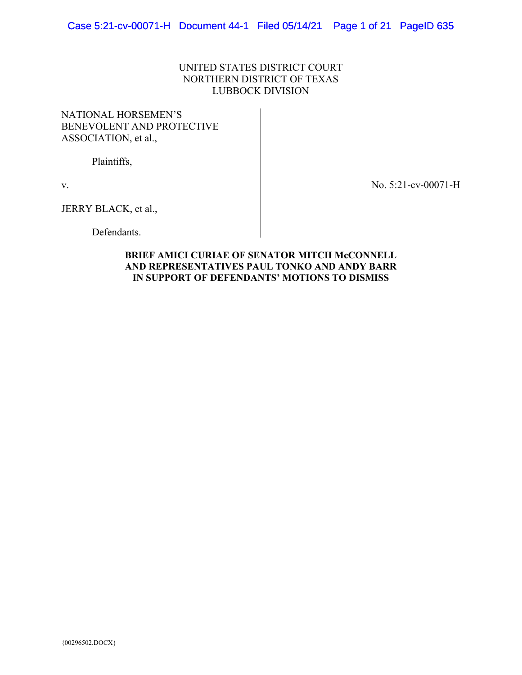# UNITED STATES DISTRICT COURT NORTHERN DISTRICT OF TEXAS LUBBOCK DIVISION

# NATIONAL HORSEMEN'S BENEVOLENT AND PROTECTIVE ASSOCIATION, et al.,

Plaintiffs,

v.

No. 5:21-cv-00071-H

JERRY BLACK, et al.,

Defendants.

# **BRIEF AMICI CURIAE OF SENATOR MITCH McCONNELL AND REPRESENTATIVES PAUL TONKO AND ANDY BARR IN SUPPORT OF DEFENDANTS' MOTIONS TO DISMISS**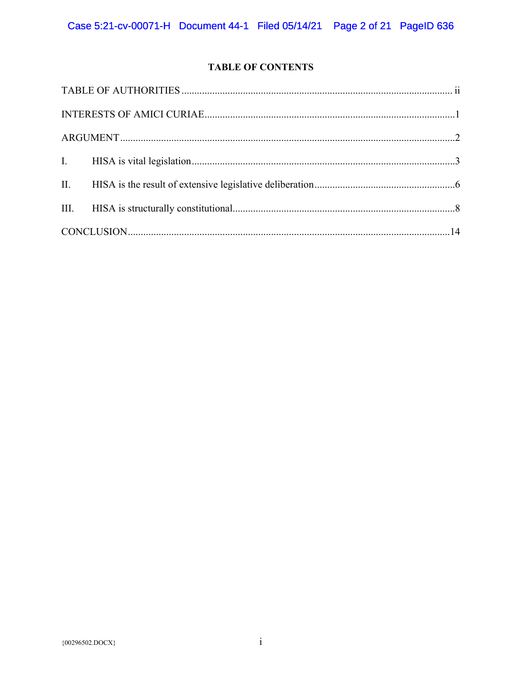# **TABLE OF CONTENTS**

| $\textbf{INTERESTS OF AMICI CURIAE} \textcolor{red}{.\textcolor{blue}{\textbf{UNTERESTS ON AMICIC}}}\ \textcolor{red}{\textbf{.}}$ |  |  |
|------------------------------------------------------------------------------------------------------------------------------------|--|--|
|                                                                                                                                    |  |  |
|                                                                                                                                    |  |  |
|                                                                                                                                    |  |  |
|                                                                                                                                    |  |  |
|                                                                                                                                    |  |  |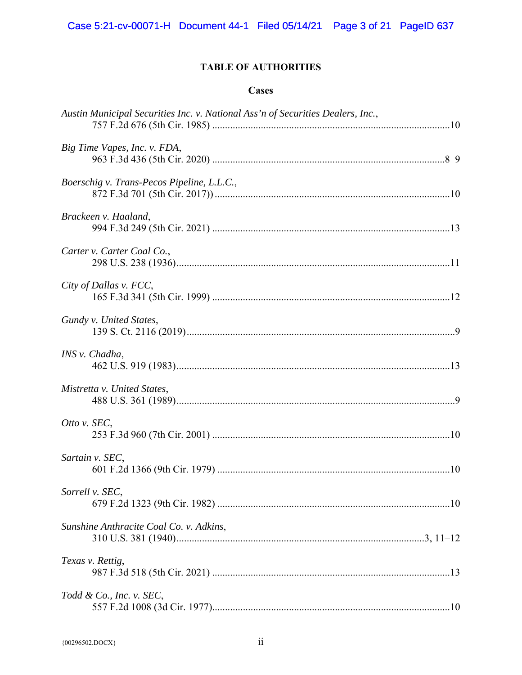# **TABLE OF AUTHORITIES**

# **Cases**

| Austin Municipal Securities Inc. v. National Ass'n of Securities Dealers, Inc., |  |
|---------------------------------------------------------------------------------|--|
| Big Time Vapes, Inc. v. FDA,                                                    |  |
| Boerschig v. Trans-Pecos Pipeline, L.L.C.,                                      |  |
| Brackeen v. Haaland,                                                            |  |
| Carter v. Carter Coal Co.,                                                      |  |
| City of Dallas v. FCC,                                                          |  |
| Gundy v. United States,                                                         |  |
| INS v. Chadha,                                                                  |  |
| Mistretta v. United States,                                                     |  |
| Otto v. SEC,                                                                    |  |
| Sartain v. SEC,                                                                 |  |
| Sorrell v. SEC,                                                                 |  |
| Sunshine Anthracite Coal Co. v. Adkins,                                         |  |
| Texas v. Rettig,                                                                |  |
| Todd & Co., Inc. v. SEC,                                                        |  |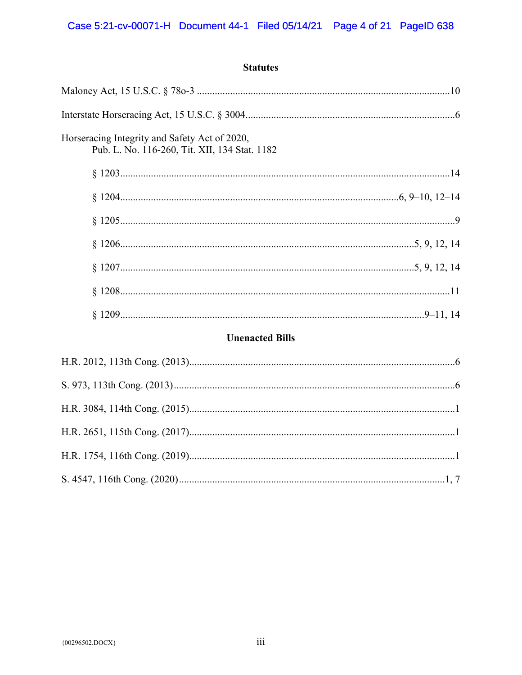**Statutes** 

# **Unenacted Bills**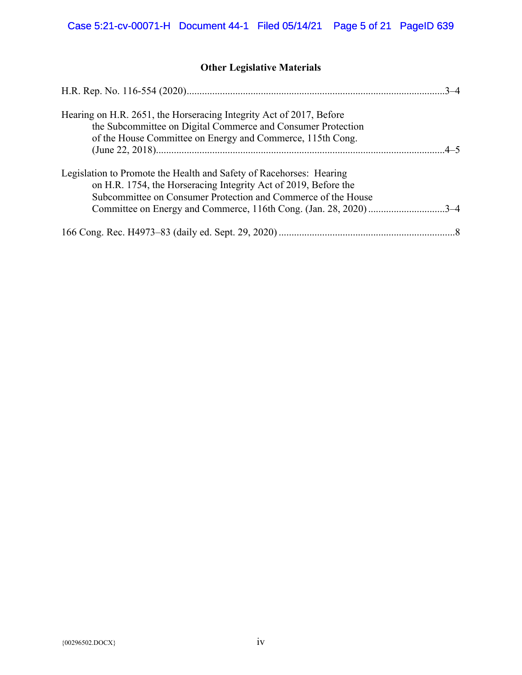# **Other Legislative Materials**

| Hearing on H.R. 2651, the Horseracing Integrity Act of 2017, Before<br>the Subcommittee on Digital Commerce and Consumer Protection<br>of the House Committee on Energy and Commerce, 115th Cong.       |  |
|---------------------------------------------------------------------------------------------------------------------------------------------------------------------------------------------------------|--|
|                                                                                                                                                                                                         |  |
| Legislation to Promote the Health and Safety of Racehorses: Hearing<br>on H.R. 1754, the Horseracing Integrity Act of 2019, Before the<br>Subcommittee on Consumer Protection and Commerce of the House |  |
| Committee on Energy and Commerce, 116th Cong. (Jan. 28, 2020)3-4                                                                                                                                        |  |
|                                                                                                                                                                                                         |  |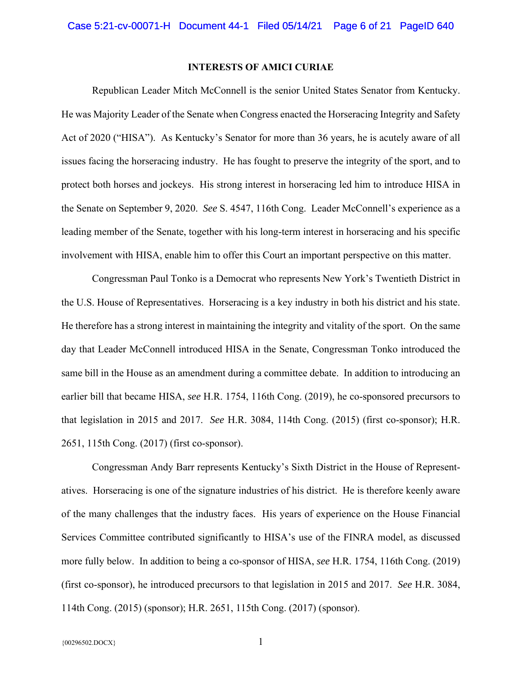## **INTERESTS OF AMICI CURIAE**

 Republican Leader Mitch McConnell is the senior United States Senator from Kentucky. He was Majority Leader of the Senate when Congress enacted the Horseracing Integrity and Safety Act of 2020 ("HISA"). As Kentucky's Senator for more than 36 years, he is acutely aware of all issues facing the horseracing industry. He has fought to preserve the integrity of the sport, and to protect both horses and jockeys. His strong interest in horseracing led him to introduce HISA in the Senate on September 9, 2020. *See* S. 4547, 116th Cong. Leader McConnell's experience as a leading member of the Senate, together with his long-term interest in horseracing and his specific involvement with HISA, enable him to offer this Court an important perspective on this matter.

 Congressman Paul Tonko is a Democrat who represents New York's Twentieth District in the U.S. House of Representatives. Horseracing is a key industry in both his district and his state. He therefore has a strong interest in maintaining the integrity and vitality of the sport. On the same day that Leader McConnell introduced HISA in the Senate, Congressman Tonko introduced the same bill in the House as an amendment during a committee debate. In addition to introducing an earlier bill that became HISA, *see* H.R. 1754, 116th Cong. (2019), he co-sponsored precursors to that legislation in 2015 and 2017. *See* H.R. 3084, 114th Cong. (2015) (first co-sponsor); H.R. 2651, 115th Cong. (2017) (first co-sponsor).

 Congressman Andy Barr represents Kentucky's Sixth District in the House of Representatives. Horseracing is one of the signature industries of his district. He is therefore keenly aware of the many challenges that the industry faces. His years of experience on the House Financial Services Committee contributed significantly to HISA's use of the FINRA model, as discussed more fully below. In addition to being a co-sponsor of HISA, *see* H.R. 1754, 116th Cong. (2019) (first co-sponsor), he introduced precursors to that legislation in 2015 and 2017. *See* H.R. 3084, 114th Cong. (2015) (sponsor); H.R. 2651, 115th Cong. (2017) (sponsor).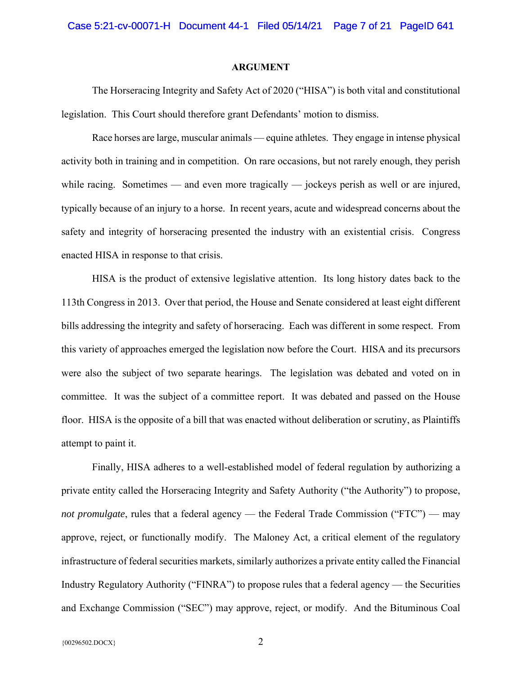#### **ARGUMENT**

 The Horseracing Integrity and Safety Act of 2020 ("HISA") is both vital and constitutional legislation. This Court should therefore grant Defendants' motion to dismiss.

 Race horses are large, muscular animals — equine athletes. They engage in intense physical activity both in training and in competition. On rare occasions, but not rarely enough, they perish while racing. Sometimes — and even more tragically — jockeys perish as well or are injured, typically because of an injury to a horse. In recent years, acute and widespread concerns about the safety and integrity of horseracing presented the industry with an existential crisis. Congress enacted HISA in response to that crisis.

 HISA is the product of extensive legislative attention. Its long history dates back to the 113th Congress in 2013. Over that period, the House and Senate considered at least eight different bills addressing the integrity and safety of horseracing. Each was different in some respect. From this variety of approaches emerged the legislation now before the Court. HISA and its precursors were also the subject of two separate hearings. The legislation was debated and voted on in committee. It was the subject of a committee report. It was debated and passed on the House floor. HISA is the opposite of a bill that was enacted without deliberation or scrutiny, as Plaintiffs attempt to paint it.

 Finally, HISA adheres to a well-established model of federal regulation by authorizing a private entity called the Horseracing Integrity and Safety Authority ("the Authority") to propose, *not promulgate*, rules that a federal agency — the Federal Trade Commission ("FTC") — may approve, reject, or functionally modify. The Maloney Act, a critical element of the regulatory infrastructure of federal securities markets, similarly authorizes a private entity called the Financial Industry Regulatory Authority ("FINRA") to propose rules that a federal agency — the Securities and Exchange Commission ("SEC") may approve, reject, or modify. And the Bituminous Coal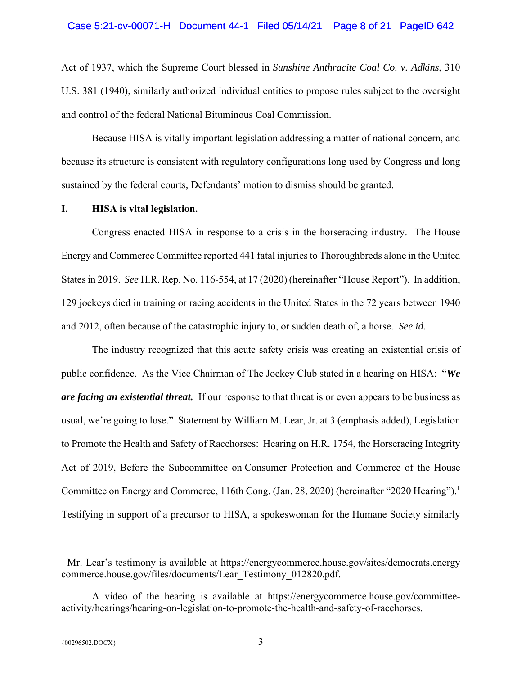### Case 5:21-cv-00071-H Document 44-1 Filed 05/14/21 Page 8 of 21 PageID 642

Act of 1937, which the Supreme Court blessed in *Sunshine Anthracite Coal Co. v. Adkins*, 310 U.S. 381 (1940), similarly authorized individual entities to propose rules subject to the oversight and control of the federal National Bituminous Coal Commission.

 Because HISA is vitally important legislation addressing a matter of national concern, and because its structure is consistent with regulatory configurations long used by Congress and long sustained by the federal courts, Defendants' motion to dismiss should be granted.

#### **I. HISA is vital legislation.**

 Congress enacted HISA in response to a crisis in the horseracing industry. The House Energy and Commerce Committee reported 441 fatal injuries to Thoroughbreds alone in the United States in 2019. *See* H.R. Rep. No. 116-554, at 17 (2020) (hereinafter "House Report"). In addition, 129 jockeys died in training or racing accidents in the United States in the 72 years between 1940 and 2012, often because of the catastrophic injury to, or sudden death of, a horse. *See id.*

 The industry recognized that this acute safety crisis was creating an existential crisis of public confidence. As the Vice Chairman of The Jockey Club stated in a hearing on HISA: "*We are facing an existential threat.* If our response to that threat is or even appears to be business as usual, we're going to lose." Statement by William M. Lear, Jr. at 3 (emphasis added), Legislation to Promote the Health and Safety of Racehorses: Hearing on H.R. 1754, the Horseracing Integrity Act of 2019, Before the Subcommittee on Consumer Protection and Commerce of the House Committee on Energy and Commerce, 116th Cong. (Jan. 28, 2020) (hereinafter "2020 Hearing").<sup>1</sup> Testifying in support of a precursor to HISA, a spokeswoman for the Humane Society similarly

<sup>&</sup>lt;sup>1</sup> Mr. Lear's testimony is available at https://energycommerce.house.gov/sites/democrats.energy commerce.house.gov/files/documents/Lear\_Testimony\_012820.pdf.

A video of the hearing is available at https://energycommerce.house.gov/committeeactivity/hearings/hearing-on-legislation-to-promote-the-health-and-safety-of-racehorses.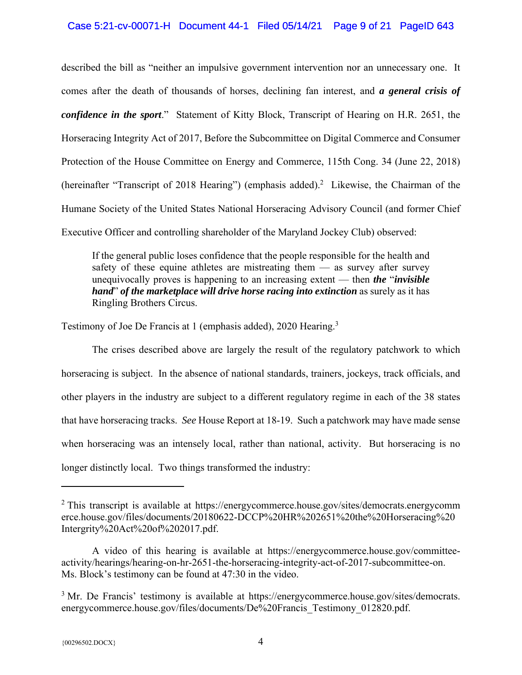## Case 5:21-cv-00071-H Document 44-1 Filed 05/14/21 Page 9 of 21 PageID 643

described the bill as "neither an impulsive government intervention nor an unnecessary one. It comes after the death of thousands of horses, declining fan interest, and *a general crisis of confidence in the sport*." Statement of Kitty Block, Transcript of Hearing on H.R. 2651, the Horseracing Integrity Act of 2017, Before the Subcommittee on Digital Commerce and Consumer Protection of the House Committee on Energy and Commerce, 115th Cong. 34 (June 22, 2018) (hereinafter "Transcript of 2018 Hearing") (emphasis added).<sup>2</sup> Likewise, the Chairman of the Humane Society of the United States National Horseracing Advisory Council (and former Chief Executive Officer and controlling shareholder of the Maryland Jockey Club) observed:

If the general public loses confidence that the people responsible for the health and safety of these equine athletes are mistreating them — as survey after survey unequivocally proves is happening to an increasing extent — then *the* "*invisible hand*" *of the marketplace will drive horse racing into extinction* as surely as it has Ringling Brothers Circus.

Testimony of Joe De Francis at 1 (emphasis added), 2020 Hearing.<sup>3</sup>

 The crises described above are largely the result of the regulatory patchwork to which horseracing is subject. In the absence of national standards, trainers, jockeys, track officials, and other players in the industry are subject to a different regulatory regime in each of the 38 states that have horseracing tracks. *See* House Report at 18-19. Such a patchwork may have made sense when horseracing was an intensely local, rather than national, activity. But horseracing is no longer distinctly local. Two things transformed the industry:

<sup>&</sup>lt;sup>2</sup> This transcript is available at https://energycommerce.house.gov/sites/democrats.energycomm erce.house.gov/files/documents/20180622-DCCP%20HR%202651%20the%20Horseracing%20 Intergrity%20Act%20of%202017.pdf.

A video of this hearing is available at https://energycommerce.house.gov/committeeactivity/hearings/hearing-on-hr-2651-the-horseracing-integrity-act-of-2017-subcommittee-on. Ms. Block's testimony can be found at 47:30 in the video.

<sup>&</sup>lt;sup>3</sup> Mr. De Francis' testimony is available at https://energycommerce.house.gov/sites/democrats. energycommerce.house.gov/files/documents/De%20Francis\_Testimony\_012820.pdf.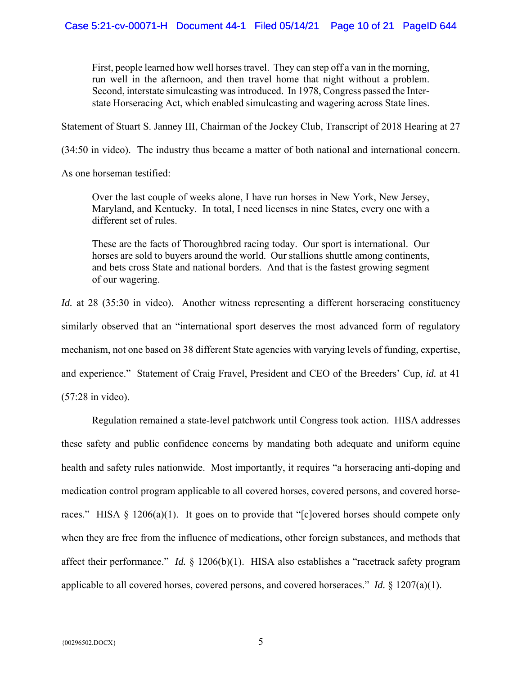First, people learned how well horses travel. They can step off a van in the morning, run well in the afternoon, and then travel home that night without a problem. Second, interstate simulcasting was introduced. In 1978, Congress passed the Interstate Horseracing Act, which enabled simulcasting and wagering across State lines.

Statement of Stuart S. Janney III, Chairman of the Jockey Club, Transcript of 2018 Hearing at 27

(34:50 in video). The industry thus became a matter of both national and international concern.

As one horseman testified:

Over the last couple of weeks alone, I have run horses in New York, New Jersey, Maryland, and Kentucky. In total, I need licenses in nine States, every one with a different set of rules.

These are the facts of Thoroughbred racing today. Our sport is international. Our horses are sold to buyers around the world. Our stallions shuttle among continents, and bets cross State and national borders. And that is the fastest growing segment of our wagering.

*Id.* at 28 (35:30 in video). Another witness representing a different horseracing constituency similarly observed that an "international sport deserves the most advanced form of regulatory mechanism, not one based on 38 different State agencies with varying levels of funding, expertise, and experience." Statement of Craig Fravel, President and CEO of the Breeders' Cup, *id.* at 41 (57:28 in video).

 Regulation remained a state-level patchwork until Congress took action. HISA addresses these safety and public confidence concerns by mandating both adequate and uniform equine health and safety rules nationwide. Most importantly, it requires "a horseracing anti-doping and medication control program applicable to all covered horses, covered persons, and covered horseraces." HISA § 1206(a)(1). It goes on to provide that "[c]overed horses should compete only when they are free from the influence of medications, other foreign substances, and methods that affect their performance." *Id.* § 1206(b)(1). HISA also establishes a "racetrack safety program applicable to all covered horses, covered persons, and covered horseraces." *Id.* § 1207(a)(1).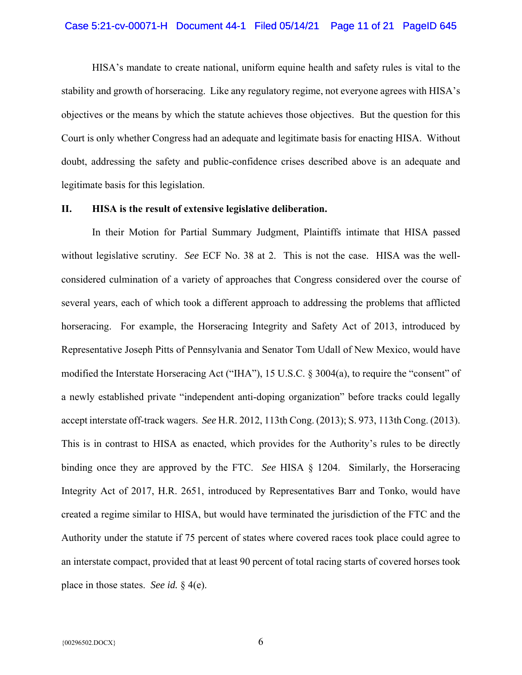#### Case 5:21-cv-00071-H Document 44-1 Filed 05/14/21 Page 11 of 21 PageID 645

 HISA's mandate to create national, uniform equine health and safety rules is vital to the stability and growth of horseracing. Like any regulatory regime, not everyone agrees with HISA's objectives or the means by which the statute achieves those objectives. But the question for this Court is only whether Congress had an adequate and legitimate basis for enacting HISA. Without doubt, addressing the safety and public-confidence crises described above is an adequate and legitimate basis for this legislation.

#### **II. HISA is the result of extensive legislative deliberation.**

 In their Motion for Partial Summary Judgment, Plaintiffs intimate that HISA passed without legislative scrutiny. *See* ECF No. 38 at 2. This is not the case. HISA was the wellconsidered culmination of a variety of approaches that Congress considered over the course of several years, each of which took a different approach to addressing the problems that afflicted horseracing. For example, the Horseracing Integrity and Safety Act of 2013, introduced by Representative Joseph Pitts of Pennsylvania and Senator Tom Udall of New Mexico, would have modified the Interstate Horseracing Act ("IHA"), 15 U.S.C. § 3004(a), to require the "consent" of a newly established private "independent anti-doping organization" before tracks could legally accept interstate off-track wagers. *See* H.R. 2012, 113th Cong. (2013); S. 973, 113th Cong. (2013). This is in contrast to HISA as enacted, which provides for the Authority's rules to be directly binding once they are approved by the FTC. *See* HISA § 1204. Similarly, the Horseracing Integrity Act of 2017, H.R. 2651, introduced by Representatives Barr and Tonko, would have created a regime similar to HISA, but would have terminated the jurisdiction of the FTC and the Authority under the statute if 75 percent of states where covered races took place could agree to an interstate compact, provided that at least 90 percent of total racing starts of covered horses took place in those states. *See id.* § 4(e).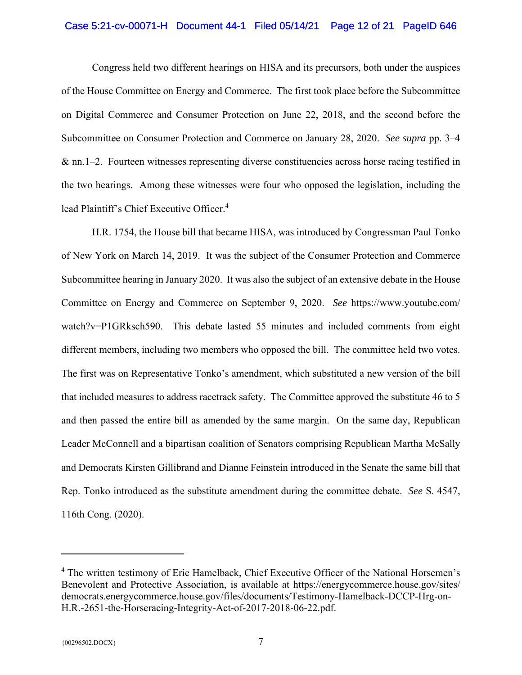## Case 5:21-cv-00071-H Document 44-1 Filed 05/14/21 Page 12 of 21 PageID 646

 Congress held two different hearings on HISA and its precursors, both under the auspices of the House Committee on Energy and Commerce. The first took place before the Subcommittee on Digital Commerce and Consumer Protection on June 22, 2018, and the second before the Subcommittee on Consumer Protection and Commerce on January 28, 2020. *See supra* pp. 3–4 & nn.1–2. Fourteen witnesses representing diverse constituencies across horse racing testified in the two hearings. Among these witnesses were four who opposed the legislation, including the lead Plaintiff's Chief Executive Officer.4

 H.R. 1754, the House bill that became HISA, was introduced by Congressman Paul Tonko of New York on March 14, 2019. It was the subject of the Consumer Protection and Commerce Subcommittee hearing in January 2020. It was also the subject of an extensive debate in the House Committee on Energy and Commerce on September 9, 2020. *See* https://www.youtube.com/ watch?v=P1GRksch590. This debate lasted 55 minutes and included comments from eight different members, including two members who opposed the bill. The committee held two votes. The first was on Representative Tonko's amendment, which substituted a new version of the bill that included measures to address racetrack safety. The Committee approved the substitute 46 to 5 and then passed the entire bill as amended by the same margin. On the same day, Republican Leader McConnell and a bipartisan coalition of Senators comprising Republican Martha McSally and Democrats Kirsten Gillibrand and Dianne Feinstein introduced in the Senate the same bill that Rep. Tonko introduced as the substitute amendment during the committee debate. *See* S. 4547, 116th Cong. (2020).

<sup>&</sup>lt;sup>4</sup> The written testimony of Eric Hamelback, Chief Executive Officer of the National Horsemen's Benevolent and Protective Association, is available at https://energycommerce.house.gov/sites/ democrats.energycommerce.house.gov/files/documents/Testimony-Hamelback-DCCP-Hrg-on-H.R.-2651-the-Horseracing-Integrity-Act-of-2017-2018-06-22.pdf.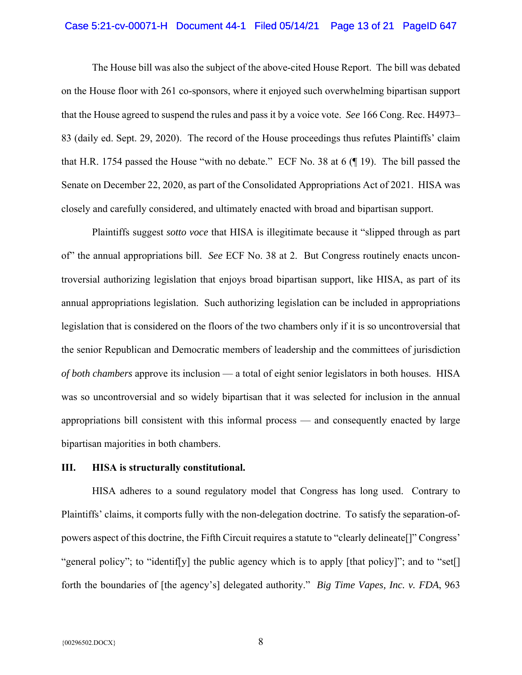## Case 5:21-cv-00071-H Document 44-1 Filed 05/14/21 Page 13 of 21 PageID 647

 The House bill was also the subject of the above-cited House Report. The bill was debated on the House floor with 261 co-sponsors, where it enjoyed such overwhelming bipartisan support that the House agreed to suspend the rules and pass it by a voice vote. *See* 166 Cong. Rec. H4973– 83 (daily ed. Sept. 29, 2020). The record of the House proceedings thus refutes Plaintiffs' claim that H.R. 1754 passed the House "with no debate." ECF No. 38 at 6 (¶ 19). The bill passed the Senate on December 22, 2020, as part of the Consolidated Appropriations Act of 2021. HISA was closely and carefully considered, and ultimately enacted with broad and bipartisan support.

 Plaintiffs suggest *sotto voce* that HISA is illegitimate because it "slipped through as part of" the annual appropriations bill. *See* ECF No. 38 at 2. But Congress routinely enacts uncontroversial authorizing legislation that enjoys broad bipartisan support, like HISA, as part of its annual appropriations legislation. Such authorizing legislation can be included in appropriations legislation that is considered on the floors of the two chambers only if it is so uncontroversial that the senior Republican and Democratic members of leadership and the committees of jurisdiction *of both chambers* approve its inclusion — a total of eight senior legislators in both houses. HISA was so uncontroversial and so widely bipartisan that it was selected for inclusion in the annual appropriations bill consistent with this informal process — and consequently enacted by large bipartisan majorities in both chambers.

#### **III. HISA is structurally constitutional.**

 HISA adheres to a sound regulatory model that Congress has long used. Contrary to Plaintiffs' claims, it comports fully with the non-delegation doctrine. To satisfy the separation-ofpowers aspect of this doctrine, the Fifth Circuit requires a statute to "clearly delineate[]" Congress' "general policy"; to "identif[y] the public agency which is to apply [that policy]"; and to "set[] forth the boundaries of [the agency's] delegated authority." *Big Time Vapes, Inc. v. FDA*, 963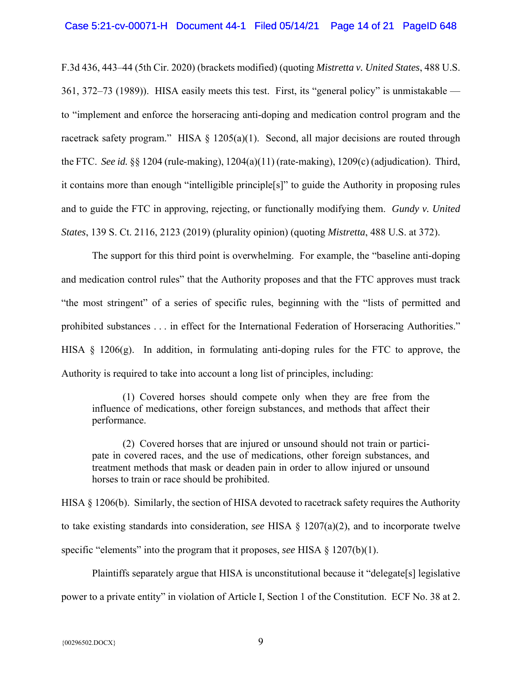F.3d 436, 443–44 (5th Cir. 2020) (brackets modified) (quoting *Mistretta v. United States*, 488 U.S. 361, 372–73 (1989)). HISA easily meets this test. First, its "general policy" is unmistakable to "implement and enforce the horseracing anti-doping and medication control program and the racetrack safety program." HISA  $\S$  1205(a)(1). Second, all major decisions are routed through the FTC. *See id.* §§ 1204 (rule-making), 1204(a)(11) (rate-making), 1209(c) (adjudication). Third, it contains more than enough "intelligible principle[s]" to guide the Authority in proposing rules and to guide the FTC in approving, rejecting, or functionally modifying them. *Gundy v. United States*, 139 S. Ct. 2116, 2123 (2019) (plurality opinion) (quoting *Mistretta*, 488 U.S. at 372).

 The support for this third point is overwhelming. For example, the "baseline anti-doping and medication control rules" that the Authority proposes and that the FTC approves must track "the most stringent" of a series of specific rules, beginning with the "lists of permitted and prohibited substances . . . in effect for the International Federation of Horseracing Authorities." HISA § 1206(g). In addition, in formulating anti-doping rules for the FTC to approve, the Authority is required to take into account a long list of principles, including:

 (1) Covered horses should compete only when they are free from the influence of medications, other foreign substances, and methods that affect their performance.

 (2) Covered horses that are injured or unsound should not train or participate in covered races, and the use of medications, other foreign substances, and treatment methods that mask or deaden pain in order to allow injured or unsound horses to train or race should be prohibited.

HISA § 1206(b). Similarly, the section of HISA devoted to racetrack safety requires the Authority to take existing standards into consideration, *see* HISA § 1207(a)(2), and to incorporate twelve specific "elements" into the program that it proposes, *see* HISA § 1207(b)(1).

 Plaintiffs separately argue that HISA is unconstitutional because it "delegate[s] legislative power to a private entity" in violation of Article I, Section 1 of the Constitution. ECF No. 38 at 2.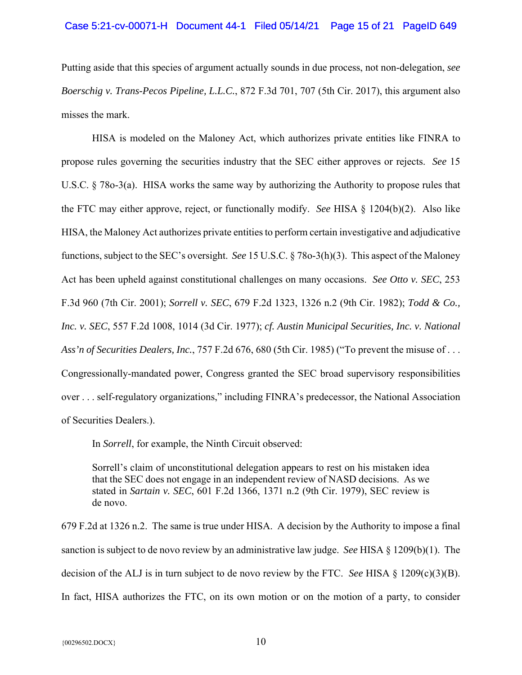## Case 5:21-cv-00071-H Document 44-1 Filed 05/14/21 Page 15 of 21 PageID 649

Putting aside that this species of argument actually sounds in due process, not non-delegation, *see Boerschig v. Trans-Pecos Pipeline, L.L.C.*, 872 F.3d 701, 707 (5th Cir. 2017), this argument also misses the mark.

 HISA is modeled on the Maloney Act, which authorizes private entities like FINRA to propose rules governing the securities industry that the SEC either approves or rejects. *See* 15 U.S.C. § 78o-3(a). HISA works the same way by authorizing the Authority to propose rules that the FTC may either approve, reject, or functionally modify. *See* HISA § 1204(b)(2). Also like HISA, the Maloney Act authorizes private entities to perform certain investigative and adjudicative functions, subject to the SEC's oversight. *See* 15 U.S.C. § 78o-3(h)(3). This aspect of the Maloney Act has been upheld against constitutional challenges on many occasions. *See Otto v. SEC*, 253 F.3d 960 (7th Cir. 2001); *Sorrell v. SEC*, 679 F.2d 1323, 1326 n.2 (9th Cir. 1982); *Todd & Co., Inc. v. SEC*, 557 F.2d 1008, 1014 (3d Cir. 1977); *cf. Austin Municipal Securities, Inc. v. National Ass'n of Securities Dealers, Inc.*, 757 F.2d 676, 680 (5th Cir. 1985) ("To prevent the misuse of . . . Congressionally-mandated power, Congress granted the SEC broad supervisory responsibilities over . . . self-regulatory organizations," including FINRA's predecessor, the National Association of Securities Dealers.).

In *Sorrell*, for example, the Ninth Circuit observed:

Sorrell's claim of unconstitutional delegation appears to rest on his mistaken idea that the SEC does not engage in an independent review of NASD decisions. As we stated in *Sartain v. SEC*, 601 F.2d 1366, 1371 n.2 (9th Cir. 1979), SEC review is de novo.

679 F.2d at 1326 n.2. The same is true under HISA. A decision by the Authority to impose a final sanction is subject to de novo review by an administrative law judge. *See* HISA § 1209(b)(1). The decision of the ALJ is in turn subject to de novo review by the FTC. *See* HISA § 1209(c)(3)(B). In fact, HISA authorizes the FTC, on its own motion or on the motion of a party, to consider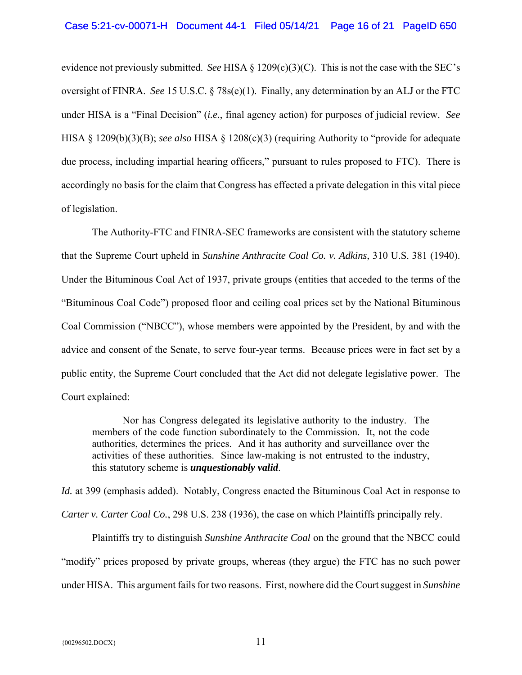evidence not previously submitted. *See* HISA § 1209(c)(3)(C). This is not the case with the SEC's oversight of FINRA. *See* 15 U.S.C. § 78s(e)(1). Finally, any determination by an ALJ or the FTC under HISA is a "Final Decision" (*i.e.*, final agency action) for purposes of judicial review. *See* HISA § 1209(b)(3)(B); *see also* HISA § 1208(c)(3) (requiring Authority to "provide for adequate due process, including impartial hearing officers," pursuant to rules proposed to FTC). There is accordingly no basis for the claim that Congress has effected a private delegation in this vital piece of legislation.

 The Authority-FTC and FINRA-SEC frameworks are consistent with the statutory scheme that the Supreme Court upheld in *Sunshine Anthracite Coal Co. v. Adkins*, 310 U.S. 381 (1940). Under the Bituminous Coal Act of 1937, private groups (entities that acceded to the terms of the "Bituminous Coal Code") proposed floor and ceiling coal prices set by the National Bituminous Coal Commission ("NBCC"), whose members were appointed by the President, by and with the advice and consent of the Senate, to serve four-year terms. Because prices were in fact set by a public entity, the Supreme Court concluded that the Act did not delegate legislative power. The Court explained:

 Nor has Congress delegated its legislative authority to the industry. The members of the code function subordinately to the Commission. It, not the code authorities, determines the prices. And it has authority and surveillance over the activities of these authorities. Since law-making is not entrusted to the industry, this statutory scheme is *unquestionably valid*.

*Id.* at 399 (emphasis added). Notably, Congress enacted the Bituminous Coal Act in response to *Carter v. Carter Coal Co.*, 298 U.S. 238 (1936), the case on which Plaintiffs principally rely.

 Plaintiffs try to distinguish *Sunshine Anthracite Coal* on the ground that the NBCC could "modify" prices proposed by private groups, whereas (they argue) the FTC has no such power under HISA. This argument fails for two reasons. First, nowhere did the Court suggest in *Sunshine*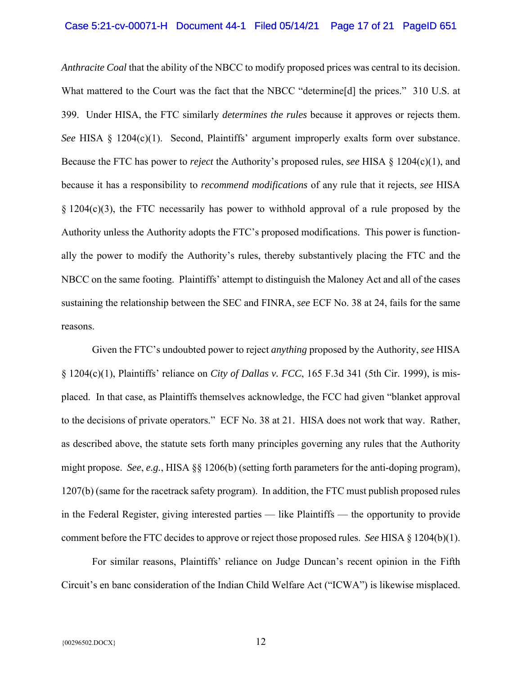*Anthracite Coal* that the ability of the NBCC to modify proposed prices was central to its decision. What mattered to the Court was the fact that the NBCC "determine<sup>[d]</sup> the prices." 310 U.S. at 399. Under HISA, the FTC similarly *determines the rules* because it approves or rejects them. *See* HISA § 1204(c)(1). Second, Plaintiffs' argument improperly exalts form over substance. Because the FTC has power to *reject* the Authority's proposed rules, *see* HISA § 1204(c)(1), and because it has a responsibility to *recommend modifications* of any rule that it rejects, *see* HISA § 1204(c)(3), the FTC necessarily has power to withhold approval of a rule proposed by the Authority unless the Authority adopts the FTC's proposed modifications. This power is functionally the power to modify the Authority's rules, thereby substantively placing the FTC and the NBCC on the same footing. Plaintiffs' attempt to distinguish the Maloney Act and all of the cases sustaining the relationship between the SEC and FINRA, *see* ECF No. 38 at 24, fails for the same reasons.

 Given the FTC's undoubted power to reject *anything* proposed by the Authority, *see* HISA § 1204(c)(1), Plaintiffs' reliance on *City of Dallas v. FCC*, 165 F.3d 341 (5th Cir. 1999), is misplaced. In that case, as Plaintiffs themselves acknowledge, the FCC had given "blanket approval to the decisions of private operators." ECF No. 38 at 21. HISA does not work that way. Rather, as described above, the statute sets forth many principles governing any rules that the Authority might propose. *See*, *e.g.*, HISA §§ 1206(b) (setting forth parameters for the anti-doping program), 1207(b) (same for the racetrack safety program). In addition, the FTC must publish proposed rules in the Federal Register, giving interested parties — like Plaintiffs — the opportunity to provide comment before the FTC decides to approve or reject those proposed rules. *See* HISA § 1204(b)(1).

 For similar reasons, Plaintiffs' reliance on Judge Duncan's recent opinion in the Fifth Circuit's en banc consideration of the Indian Child Welfare Act ("ICWA") is likewise misplaced.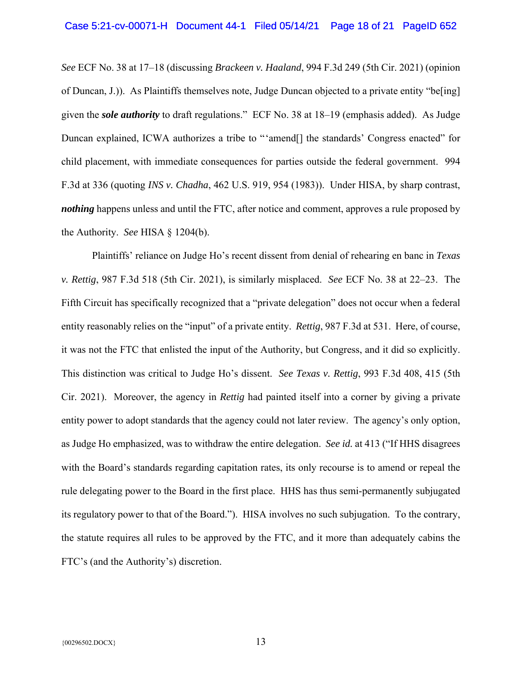*See* ECF No. 38 at 17–18 (discussing *Brackeen v. Haaland*, 994 F.3d 249 (5th Cir. 2021) (opinion of Duncan, J.)). As Plaintiffs themselves note, Judge Duncan objected to a private entity "be[ing] given the *sole authority* to draft regulations." ECF No. 38 at 18–19 (emphasis added). As Judge Duncan explained, ICWA authorizes a tribe to "'amend<sup>[]</sup> the standards' Congress enacted" for child placement, with immediate consequences for parties outside the federal government. 994 F.3d at 336 (quoting *INS v. Chadha*, 462 U.S. 919, 954 (1983)). Under HISA, by sharp contrast, *nothing* happens unless and until the FTC, after notice and comment, approves a rule proposed by the Authority. *See* HISA § 1204(b).

 Plaintiffs' reliance on Judge Ho's recent dissent from denial of rehearing en banc in *Texas v. Rettig*, 987 F.3d 518 (5th Cir. 2021), is similarly misplaced. *See* ECF No. 38 at 22–23. The Fifth Circuit has specifically recognized that a "private delegation" does not occur when a federal entity reasonably relies on the "input" of a private entity. *Rettig*, 987 F.3d at 531. Here, of course, it was not the FTC that enlisted the input of the Authority, but Congress, and it did so explicitly. This distinction was critical to Judge Ho's dissent. *See Texas v. Rettig*, 993 F.3d 408, 415 (5th Cir. 2021). Moreover, the agency in *Rettig* had painted itself into a corner by giving a private entity power to adopt standards that the agency could not later review. The agency's only option, as Judge Ho emphasized, was to withdraw the entire delegation. *See id.* at 413 ("If HHS disagrees with the Board's standards regarding capitation rates, its only recourse is to amend or repeal the rule delegating power to the Board in the first place. HHS has thus semi-permanently subjugated its regulatory power to that of the Board."). HISA involves no such subjugation. To the contrary, the statute requires all rules to be approved by the FTC, and it more than adequately cabins the FTC's (and the Authority's) discretion.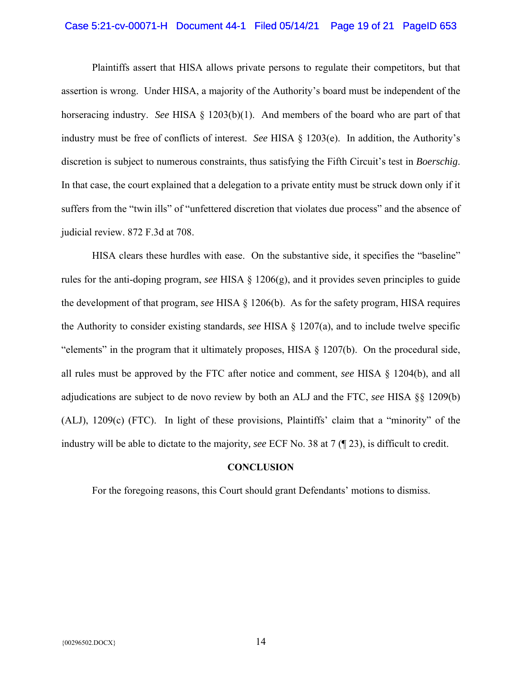## Case 5:21-cv-00071-H Document 44-1 Filed 05/14/21 Page 19 of 21 PageID 653

 Plaintiffs assert that HISA allows private persons to regulate their competitors, but that assertion is wrong. Under HISA, a majority of the Authority's board must be independent of the horseracing industry. *See* HISA § 1203(b)(1). And members of the board who are part of that industry must be free of conflicts of interest. *See* HISA § 1203(e). In addition, the Authority's discretion is subject to numerous constraints, thus satisfying the Fifth Circuit's test in *Boerschig*. In that case, the court explained that a delegation to a private entity must be struck down only if it suffers from the "twin ills" of "unfettered discretion that violates due process" and the absence of judicial review. 872 F.3d at 708.

 HISA clears these hurdles with ease. On the substantive side, it specifies the "baseline" rules for the anti-doping program, *see* HISA § 1206(g), and it provides seven principles to guide the development of that program, *see* HISA § 1206(b). As for the safety program, HISA requires the Authority to consider existing standards, *see* HISA § 1207(a), and to include twelve specific "elements" in the program that it ultimately proposes, HISA § 1207(b). On the procedural side, all rules must be approved by the FTC after notice and comment, *see* HISA § 1204(b), and all adjudications are subject to de novo review by both an ALJ and the FTC, *see* HISA §§ 1209(b) (ALJ), 1209(c) (FTC). In light of these provisions, Plaintiffs' claim that a "minority" of the industry will be able to dictate to the majority*, see* ECF No. 38 at 7 (¶ 23), is difficult to credit.

#### **CONCLUSION**

For the foregoing reasons, this Court should grant Defendants' motions to dismiss.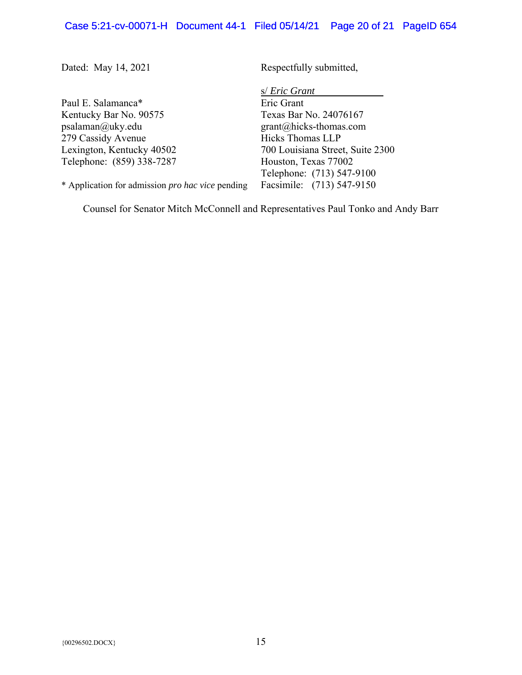Dated: May 14, 2021

Paul E. Salamanca\* Kentucky Bar No. 90575 psalaman@uky.edu 279 Cassidy Avenue Lexington, Kentucky 40502 Telephone: (859) 338-7287

\* Application for admission *pro hac vice* pending

Respectfully submitted,

s/ *Eric Grant*

Eric Grant Texas Bar No. 24076167 grant@hicks-thomas.com Hicks Thomas LLP 700 Louisiana Street, Suite 2300 Houston, Texas 77002 Telephone: (713) 547-9100 Facsimile:  (713) 547-9150

Counsel for Senator Mitch McConnell and Representatives Paul Tonko and Andy Barr